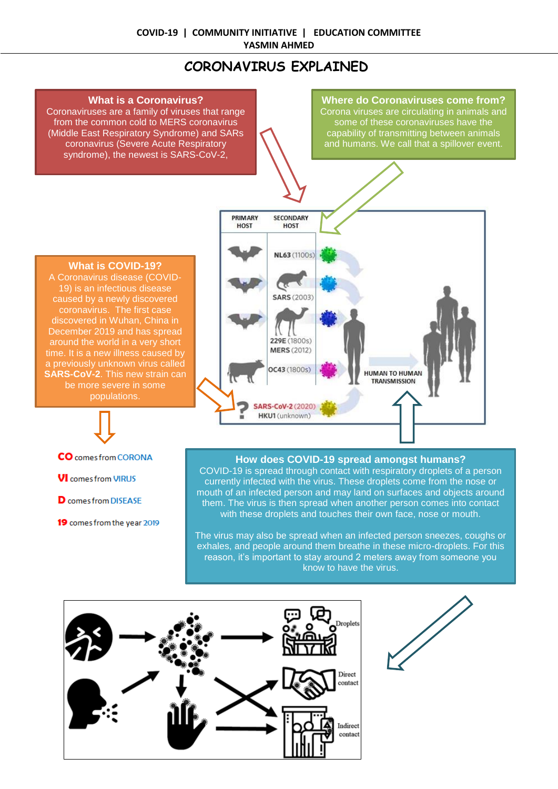# **CORONAVIRUS EXPLAINED**

# **What is a Coronavirus?**

Coronaviruses are a family of viruses that range from the common cold to MERS coronavirus (Middle East Respiratory Syndrome) and SARs coronavirus (Severe Acute Respiratory syndrome), the newest is SARS-CoV-2,

**Where do Coronaviruses come from?** Corona viruses are circulating in animals and some of these coronaviruses have the capability of transmitting between animals and humans. We call that a spillover event.

### **What is COVID-19?**

A Coronavirus disease (COVID-19) is an infectious disease caused by a newly discovered coronavirus. The first case discovered in Wuhan, China in December 2019 and has spread around the world in a very short time. It is a new illness caused by a previously unknown virus called **SARS-CoV-2**. This new strain can be more severe in some populations.

- **CO** comes from CORONA
- **VI** comes from VIRUS
- **D** comes from DISEASE
- 19 comes from the year 2019



# **How does COVID-19 spread amongst humans?**

COVID-19 is spread through contact with respiratory droplets of a person currently infected with the virus. These droplets come from the nose or mouth of an infected person and may land on surfaces and objects around them. The virus is then spread when another person comes into contact with these droplets and touches their own face, nose or mouth.

The virus may also be spread when an infected person sneezes, coughs or exhales, and people around them breathe in these micro-droplets. For this reason, it's important to stay around 2 meters away from someone you know to have the virus.